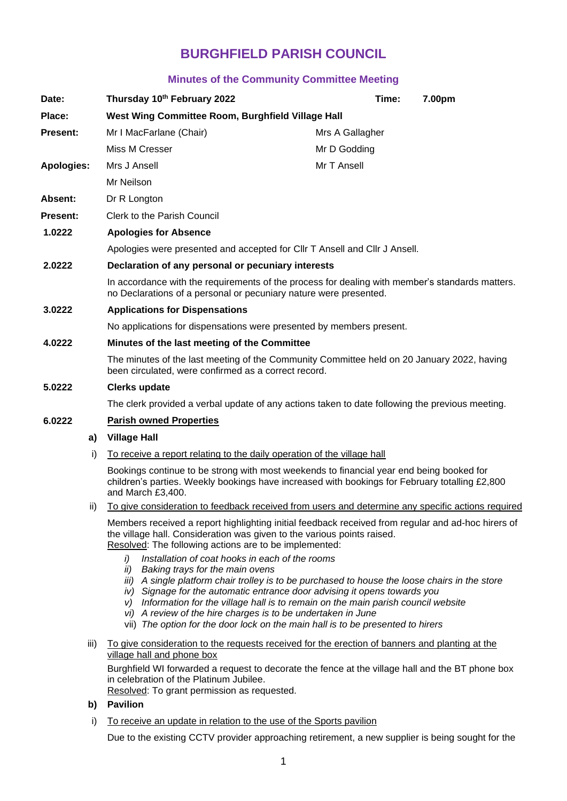# **BURGHFIELD PARISH COUNCIL**

# **Minutes of the Community Committee Meeting**

| Date:             | Thursday 10th February 2022                                                                                                                                                                                                                                                                                                                                                                                                                                                                                                | 7.00pm<br>Time:                                                                                   |
|-------------------|----------------------------------------------------------------------------------------------------------------------------------------------------------------------------------------------------------------------------------------------------------------------------------------------------------------------------------------------------------------------------------------------------------------------------------------------------------------------------------------------------------------------------|---------------------------------------------------------------------------------------------------|
| Place:            | West Wing Committee Room, Burghfield Village Hall                                                                                                                                                                                                                                                                                                                                                                                                                                                                          |                                                                                                   |
| <b>Present:</b>   | Mr I MacFarlane (Chair)                                                                                                                                                                                                                                                                                                                                                                                                                                                                                                    | Mrs A Gallagher                                                                                   |
|                   | Miss M Cresser                                                                                                                                                                                                                                                                                                                                                                                                                                                                                                             | Mr D Godding                                                                                      |
| <b>Apologies:</b> | Mrs J Ansell                                                                                                                                                                                                                                                                                                                                                                                                                                                                                                               | Mr T Ansell                                                                                       |
|                   | Mr Neilson                                                                                                                                                                                                                                                                                                                                                                                                                                                                                                                 |                                                                                                   |
| Absent:           | Dr R Longton                                                                                                                                                                                                                                                                                                                                                                                                                                                                                                               |                                                                                                   |
| Present:          | <b>Clerk to the Parish Council</b>                                                                                                                                                                                                                                                                                                                                                                                                                                                                                         |                                                                                                   |
| 1.0222            | <b>Apologies for Absence</b>                                                                                                                                                                                                                                                                                                                                                                                                                                                                                               |                                                                                                   |
|                   | Apologies were presented and accepted for CIIr T Ansell and CIIr J Ansell.                                                                                                                                                                                                                                                                                                                                                                                                                                                 |                                                                                                   |
| 2.0222            | Declaration of any personal or pecuniary interests                                                                                                                                                                                                                                                                                                                                                                                                                                                                         |                                                                                                   |
|                   | In accordance with the requirements of the process for dealing with member's standards matters.<br>no Declarations of a personal or pecuniary nature were presented.                                                                                                                                                                                                                                                                                                                                                       |                                                                                                   |
| 3.0222            | <b>Applications for Dispensations</b>                                                                                                                                                                                                                                                                                                                                                                                                                                                                                      |                                                                                                   |
|                   | No applications for dispensations were presented by members present.                                                                                                                                                                                                                                                                                                                                                                                                                                                       |                                                                                                   |
| 4.0222            | Minutes of the last meeting of the Committee                                                                                                                                                                                                                                                                                                                                                                                                                                                                               |                                                                                                   |
|                   | The minutes of the last meeting of the Community Committee held on 20 January 2022, having<br>been circulated, were confirmed as a correct record.                                                                                                                                                                                                                                                                                                                                                                         |                                                                                                   |
| 5.0222            | <b>Clerks update</b>                                                                                                                                                                                                                                                                                                                                                                                                                                                                                                       |                                                                                                   |
|                   | The clerk provided a verbal update of any actions taken to date following the previous meeting.                                                                                                                                                                                                                                                                                                                                                                                                                            |                                                                                                   |
| 6.0222            | <b>Parish owned Properties</b>                                                                                                                                                                                                                                                                                                                                                                                                                                                                                             |                                                                                                   |
| a)                | <b>Village Hall</b>                                                                                                                                                                                                                                                                                                                                                                                                                                                                                                        |                                                                                                   |
| i)                | To receive a report relating to the daily operation of the village hall                                                                                                                                                                                                                                                                                                                                                                                                                                                    |                                                                                                   |
|                   | Bookings continue to be strong with most weekends to financial year end being booked for<br>children's parties. Weekly bookings have increased with bookings for February totalling £2,800<br>and March £3,400.                                                                                                                                                                                                                                                                                                            |                                                                                                   |
| ii)               |                                                                                                                                                                                                                                                                                                                                                                                                                                                                                                                            | To give consideration to feedback received from users and determine any specific actions required |
|                   | Members received a report highlighting initial feedback received from regular and ad-hoc hirers of<br>the village hall. Consideration was given to the various points raised.<br>Resolved: The following actions are to be implemented:                                                                                                                                                                                                                                                                                    |                                                                                                   |
|                   | Installation of coat hooks in each of the rooms<br>i)<br>ii)<br>Baking trays for the main ovens<br>iii) A single platform chair trolley is to be purchased to house the loose chairs in the store<br>iv) Signage for the automatic entrance door advising it opens towards you<br>Information for the village hall is to remain on the main parish council website<br>V<br>vi) A review of the hire charges is to be undertaken in June<br>vii) The option for the door lock on the main hall is to be presented to hirers |                                                                                                   |
| iii)              | To give consideration to the requests received for the erection of banners and planting at the<br>village hall and phone box                                                                                                                                                                                                                                                                                                                                                                                               |                                                                                                   |
|                   | Burghfield WI forwarded a request to decorate the fence at the village hall and the BT phone box<br>in celebration of the Platinum Jubilee.<br>Resolved: To grant permission as requested.                                                                                                                                                                                                                                                                                                                                 |                                                                                                   |
| b)                | <b>Pavilion</b>                                                                                                                                                                                                                                                                                                                                                                                                                                                                                                            |                                                                                                   |
|                   |                                                                                                                                                                                                                                                                                                                                                                                                                                                                                                                            |                                                                                                   |

i) To receive an update in relation to the use of the Sports pavilion

Due to the existing CCTV provider approaching retirement, a new supplier is being sought for the